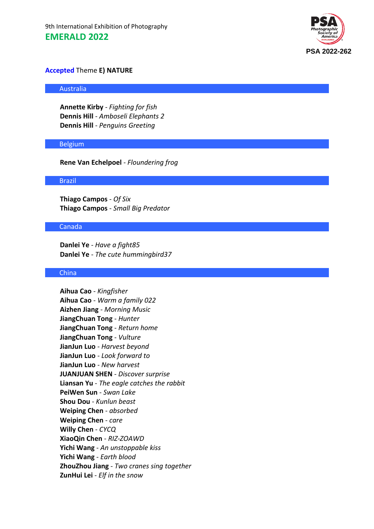

# **Accepted** Theme **E) NATURE**

### Australia

**Annette Kirby** - *Fighting for fish* **Dennis Hill** - *Amboseli Elephants 2* **Dennis Hill** - *Penguins Greeting*

## Belgium

**Rene Van Echelpoel** - *Floundering frog*

### Brazil

**Thiago Campos** - *Of Six* **Thiago Campos** - *Small Big Predator*

# Canada

**Danlei Ye** - *Have a fight85* **Danlei Ye** - *The cute hummingbird37*

## China

**Aihua Cao** - *Kingfisher* **Aihua Cao** - *Warm a family 022* **Aizhen Jiang** - *Morning Music* **JiangChuan Tong** - *Hunter* **JiangChuan Tong** - *Return home* **JiangChuan Tong** - *Vulture* **JianJun Luo** - *Harvest beyond* **JianJun Luo** - *Look forward to* **JianJun Luo** - *New harvest* **JUANJUAN SHEN** - *Discover surprise* **Liansan Yu** - *The eagle catches the rabbit* **PeiWen Sun** - *Swan Lake* **Shou Dou** - *Kunlun beast* **Weiping Chen** - *absorbed* **Weiping Chen** - *care* **Willy Chen** - *CYCQ* **XiaoQin Chen** - *RIZ-ZOAWD* **Yichi Wang** - *An unstoppable kiss* **Yichi Wang** - *Earth blood* **ZhouZhou Jiang** - *Two cranes sing together* **ZunHui Lei** - *Elf in the snow*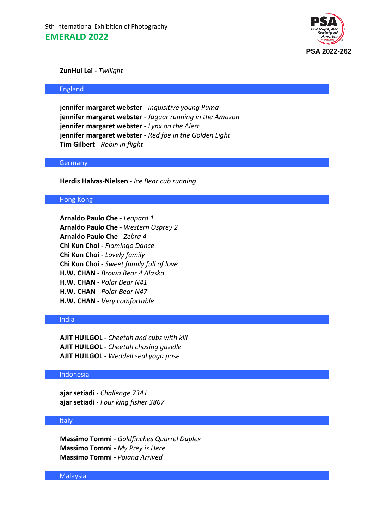

# **ZunHui Lei** - *Twilight*

### England

**jennifer margaret webster** - *inquisitive young Puma* **jennifer margaret webster** - *Jaguar running in the Amazon* **jennifer margaret webster** - *Lynx on the Alert* **jennifer margaret webster** - *Red foe in the Golden Light* **Tim Gilbert** - *Robin in flight*

## **Germany**

**Herdis Halvas-Nielsen** - *Ice Bear cub running*

## Hong Kong

**Arnaldo Paulo Che** - *Leopard 1* **Arnaldo Paulo Che** - *Western Osprey 2* **Arnaldo Paulo Che** - *Zebra 4* **Chi Kun Choi** - *Flamingo Dance* **Chi Kun Choi** - *Lovely family* **Chi Kun Choi** - *Sweet family full of love* **H.W. CHAN** - *Brown Bear 4 Alaska* **H.W. CHAN** - *Polar Bear N41* **H.W. CHAN** - *Polar Bear N47* **H.W. CHAN** - *Very comfortable*

### India

**AJIT HUILGOL** - *Cheetah and cubs with kill* **AJIT HUILGOL** - *Cheetah chasing gazelle* **AJIT HUILGOL** - *Weddell seal yoga pose*

# Indonesia

**ajar setiadi** - *Challenge 7341* **ajar setiadi** - *Four king fisher 3867*

### **Italy**

**Massimo Tommi** - *Goldfinches Quarrel Duplex* **Massimo Tommi** - *My Prey is Here* **Massimo Tommi** - *Poiana Arrived*

Malaysia